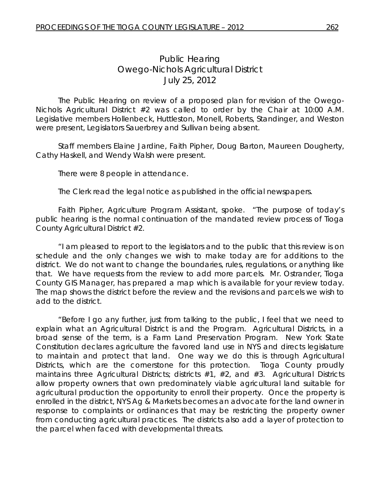## *Public Hearing Owego-Nichols Agricultural District*  July 25, 2012

 The Public Hearing on review of a proposed plan for revision of the Owego-Nichols Agricultural District #2 was called to order by the Chair at 10:00 A.M. Legislative members Hollenbeck, Huttleston, Monell, Roberts, Standinger, and Weston were present, Legislators Sauerbrey and Sullivan being absent.

Staff members Elaine Jardine, Faith Pipher, Doug Barton, Maureen Dougherty, Cathy Haskell, and Wendy Walsh were present.

There were 8 people in attendance.

The Clerk read the legal notice as published in the official newspapers.

 Faith Pipher, Agriculture Program Assistant, spoke. "The purpose of today's public hearing is the normal continuation of the mandated review process of Tioga County Agricultural District #2.

 "I am pleased to report to the legislators and to the public that this review is on schedule and the only changes we wish to make today are for additions to the district. We do not want to change the boundaries, rules, regulations, or anything like that. We have requests from the review to add more parcels. Mr. Ostrander, Tioga County GIS Manager, has prepared a map which is available for your review today. The map shows the district before the review and the revisions and parcels we wish to add to the district.

 "Before I go any further, just from talking to the public, I feel that we need to explain what an Agricultural District is and the Program. Agricultural Districts, in a broad sense of the term, is a Farm Land Preservation Program. New York State Constitution declares agriculture the favored land use in NYS and directs legislature to maintain and protect that land. One way we do this is through Agricultural Districts, which are the cornerstone for this protection. Tioga County proudly maintains three Agricultural Districts; districts #1, #2, and #3. Agricultural Districts allow property owners that own predominately viable agricultural land suitable for agricultural production the opportunity to enroll their property. Once the property is enrolled in the district, NYS Ag & Markets becomes an advocate for the land owner in response to complaints or ordinances that may be restricting the property owner from conducting agricultural practices. The districts also add a layer of protection to the parcel when faced with developmental threats.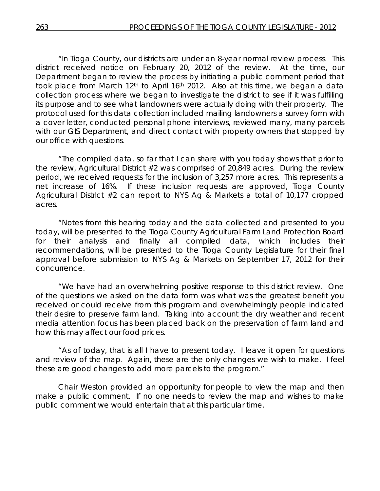"In Tioga County, our districts are under an 8-year normal review process. This district received notice on February 20, 2012 of the review. At the time, our Department began to review the process by initiating a public comment period that took place from March 12<sup>th</sup> to April 16<sup>th</sup> 2012. Also at this time, we began a data collection process where we began to investigate the district to see if it was fulfilling its purpose and to see what landowners were actually doing with their property. The protocol used for this data collection included mailing landowners a survey form with a cover letter, conducted personal phone interviews, reviewed many, many parcels with our GIS Department, and direct contact with property owners that stopped by our office with questions.

 "The compiled data, so far that I can share with you today shows that prior to the review, Agricultural District #2 was comprised of 20,849 acres. During the review period, we received requests for the inclusion of 3,257 more acres. This represents a net increase of 16%. If these inclusion requests are approved, Tioga County Agricultural District #2 can report to NYS Ag & Markets a total of 10,177 cropped acres.

 "Notes from this hearing today and the data collected and presented to you today, will be presented to the Tioga County Agricultural Farm Land Protection Board for their analysis and finally all compiled data, which includes their recommendations, will be presented to the Tioga County Legislature for their final approval before submission to NYS Ag & Markets on September 17, 2012 for their concurrence.

 "We have had an overwhelming positive response to this district review. One of the questions we asked on the data form was what was the greatest benefit you received or could receive from this program and overwhelmingly people indicated their desire to preserve farm land. Taking into account the dry weather and recent media attention focus has been placed back on the preservation of farm land and how this may affect our food prices.

 "As of today, that is all I have to present today. I leave it open for questions and review of the map. Again, these are the only changes we wish to make. I feel these are good changes to add more parcels to the program."

 Chair Weston provided an opportunity for people to view the map and then make a public comment. If no one needs to review the map and wishes to make public comment we would entertain that at this particular time.